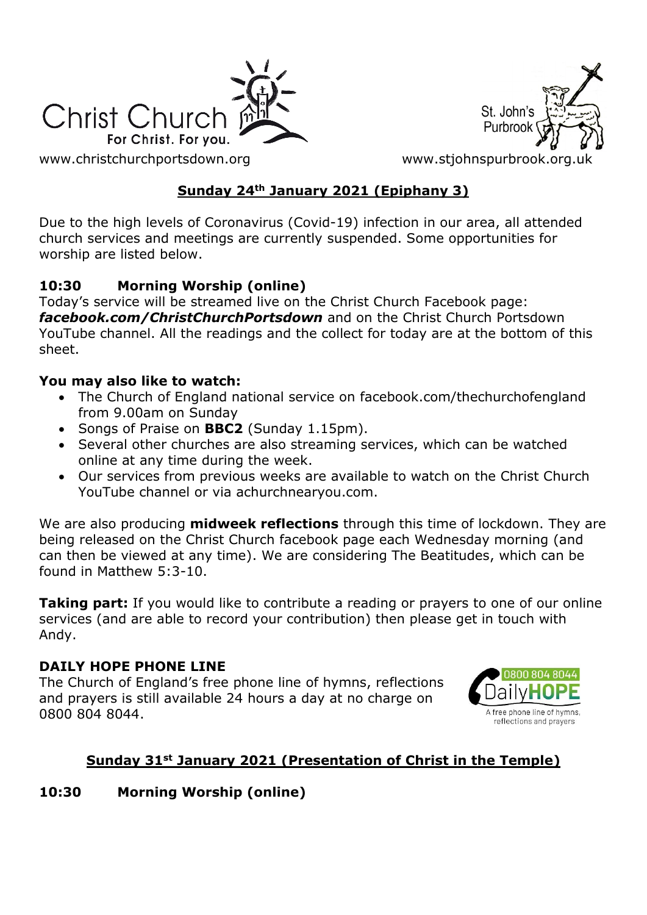



[www.christchurchportsdown.org](http://www.christchurchportsdown.org/) www.stjohnspurbrook.org

## **Sunday 24th January 2021 (Epiphany 3)**

Due to the high levels of Coronavirus (Covid-19) infection in our area, all attended church services and meetings are currently suspended. Some opportunities for worship are listed below.

## **10:30 Morning Worship (online)**

Today's service will be streamed live on the Christ Church Facebook page: *[facebook.com/ChristChurchPortsdown](http://www.facebook.com/ChristChurchPortsdown%20at%2010.30)* and on the Christ Church Portsdown YouTube channel. All the readings and the collect for today are at the bottom of this sheet.

### **You may also like to watch:**

- The Church of England national service on facebook.com/thechurchofengland from 9.00am on Sunday
- Songs of Praise on **BBC2** (Sunday 1.15pm).
- Several other churches are also streaming services, which can be watched online at any time during the week.
- Our services from previous weeks are available to watch on the Christ Church YouTube channel or via achurchnearyou.com.

We are also producing **midweek reflections** through this time of lockdown. They are being released on the Christ Church facebook page each Wednesday morning (and can then be viewed at any time). We are considering The Beatitudes, which can be found in Matthew 5:3-10.

**Taking part:** If you would like to contribute a reading or prayers to one of our online services (and are able to record your contribution) then please get in touch with Andy.

#### **DAILY HOPE PHONE LINE**

The Church of England's free phone line of hymns, reflections and prayers is still available 24 hours a day at no charge on 0800 804 8044.



## **Sunday 31st January 2021 (Presentation of Christ in the Temple)**

## **10:30 Morning Worship (online)**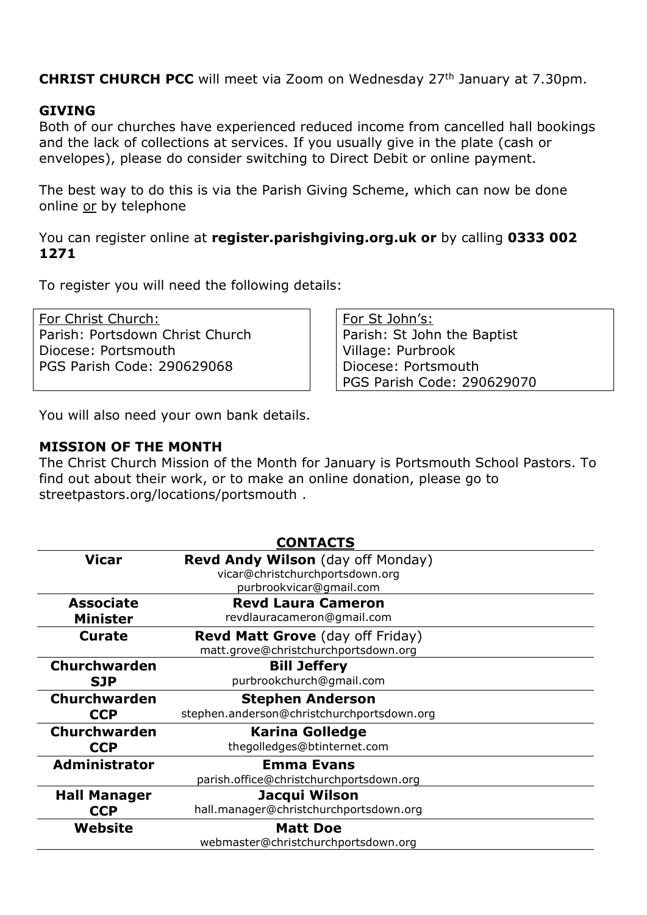**CHRIST CHURCH PCC** will meet via Zoom on Wednesday 27<sup>th</sup> January at 7.30pm.

#### **GIVING**

Both of our churches have experienced reduced income from cancelled hall bookings and the lack of collections at services. If you usually give in the plate (cash or envelopes), please do consider switching to Direct Debit or online payment.

The best way to do this is via the Parish Giving Scheme, which can now be done online or by telephone

You can register online at **register.parishgiving.org.uk or** by calling **0333 002 1271**

To register you will need the following details:

For Christ Church: Parish: Portsdown Christ Church Diocese: Portsmouth PGS Parish Code: 290629068

For St John's: Parish: St John the Baptist Village: Purbrook Diocese: Portsmouth PGS Parish Code: 290629070

You will also need your own bank details.

#### **MISSION OF THE MONTH**

The Christ Church Mission of the Month for January is Portsmouth School Pastors. To find out about their work, or to make an online donation, please go to streetpastors.org/locations/portsmouth .

|                      | <b>CONTACTS</b>                            |
|----------------------|--------------------------------------------|
| Vicar                | <b>Revd Andy Wilson</b> (day off Monday)   |
|                      | vicar@christchurchportsdown.org            |
|                      | purbrookvicar@gmail.com                    |
| <b>Associate</b>     | <b>Revd Laura Cameron</b>                  |
| <b>Minister</b>      | revdlauracameron@gmail.com                 |
| <b>Curate</b>        | <b>Revd Matt Grove</b> (day off Friday)    |
|                      | matt.grove@christchurchportsdown.org       |
| Churchwarden         | <b>Bill Jeffery</b>                        |
| <b>SJP</b>           | purbrookchurch@gmail.com                   |
|                      |                                            |
| <b>Churchwarden</b>  | <b>Stephen Anderson</b>                    |
| <b>CCP</b>           | stephen.anderson@christchurchportsdown.org |
| <b>Churchwarden</b>  | <b>Karina Golledge</b>                     |
| <b>CCP</b>           | thegolledges@btinternet.com                |
| <b>Administrator</b> | <b>Emma Evans</b>                          |
|                      | parish.office@christchurchportsdown.org    |
| <b>Hall Manager</b>  | Jacqui Wilson                              |
| <b>CCP</b>           | hall.manager@christchurchportsdown.org     |
| Website              | <b>Matt Doe</b>                            |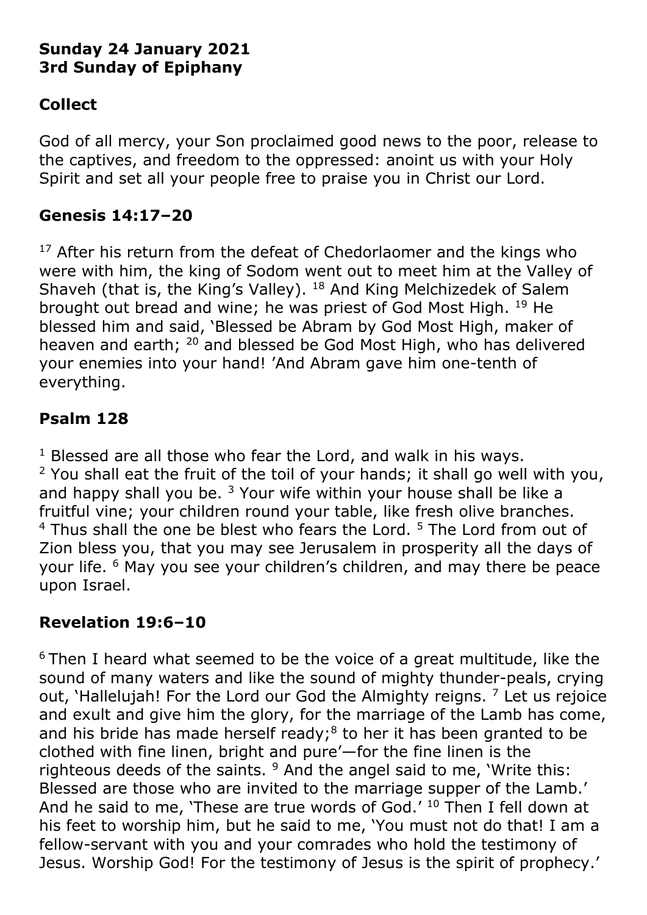# **Sunday 24 January 2021 3rd Sunday of Epiphany**

# **Collect**

God of all mercy, your Son proclaimed good news to the poor, release to the captives, and freedom to the oppressed: anoint us with your Holy Spirit and set all your people free to praise you in Christ our Lord.

# **Genesis 14:17–20**

 $17$  After his return from the defeat of Chedorlaomer and the kings who were with him, the king of Sodom went out to meet him at the Valley of Shaveh (that is, the King's Valley). <sup>18</sup> And King Melchizedek of Salem brought out bread and wine; he was priest of God Most High. <sup>19</sup> He blessed him and said, 'Blessed be Abram by God Most High, maker of heaven and earth; <sup>20</sup> and blessed be God Most High, who has delivered your enemies into your hand! 'And Abram gave him one-tenth of everything.

# **Psalm 128**

 $1$  Blessed are all those who fear the Lord, and walk in his ways.  $2$  You shall eat the fruit of the toil of your hands; it shall go well with you, and happy shall you be.  $3$  Your wife within your house shall be like a fruitful vine; your children round your table, like fresh olive branches.  $4$  Thus shall the one be blest who fears the Lord.  $5$  The Lord from out of Zion bless you, that you may see Jerusalem in prosperity all the days of your life. <sup>6</sup> May you see your children's children, and may there be peace upon Israel.

# **Revelation 19:6–10**

 $6$  Then I heard what seemed to be the voice of a great multitude, like the sound of many waters and like the sound of mighty thunder-peals, crying out, 'Hallelujah! For the Lord our God the Almighty reigns.  $<sup>7</sup>$  Let us rejoice</sup> and exult and give him the glory, for the marriage of the Lamb has come, and his bride has made herself ready; $8$  to her it has been granted to be clothed with fine linen, bright and pure'—for the fine linen is the righteous deeds of the saints.  $9$  And the angel said to me, 'Write this: Blessed are those who are invited to the marriage supper of the Lamb.' And he said to me, 'These are true words of God.' <sup>10</sup> Then I fell down at his feet to worship him, but he said to me, 'You must not do that! I am a fellow-servant with you and your comrades who hold the testimony of Jesus. Worship God! For the testimony of Jesus is the spirit of prophecy.'